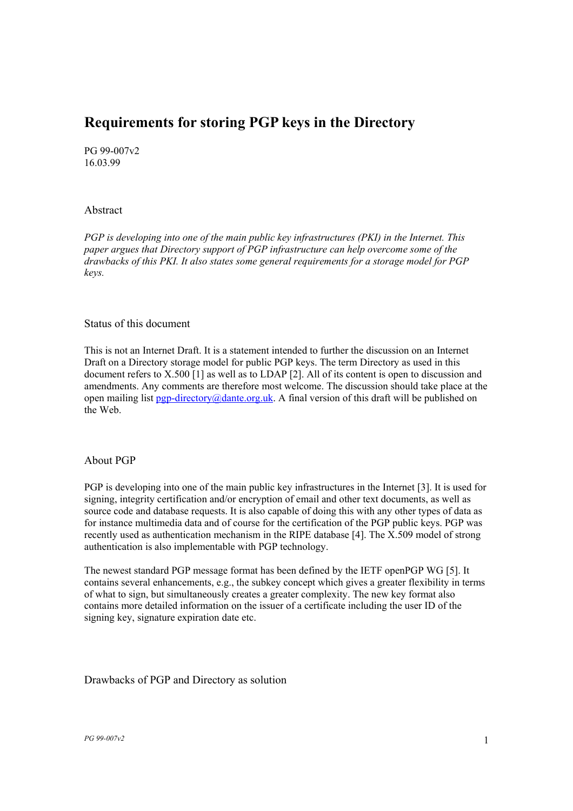# **Requirements for storing PGP keys in the Directory**

PG 99-007v2 16.03.99

## Abstract

*PGP is developing into one of the main public key infrastructures (PKI) in the Internet. This paper argues that Directory support of PGP infrastructure can help overcome some of the drawbacks of this PKI. It also states some general requirements for a storage model for PGP keys.* 

## Status of this document

This is not an Internet Draft. It is a statement intended to further the discussion on an Internet Draft on a Directory storage model for public PGP keys. The term Directory as used in this document refers to X.500 [1] as well as to LDAP [2]. All of its content is open to discussion and amendments. Any comments are therefore most welcome. The discussion should take place at the open mailing list pgp-directory@dante.org.uk. A final version of this draft will be published on the Web.

# About PGP

PGP is developing into one of the main public key infrastructures in the Internet [3]. It is used for signing, integrity certification and/or encryption of email and other text documents, as well as source code and database requests. It is also capable of doing this with any other types of data as for instance multimedia data and of course for the certification of the PGP public keys. PGP was recently used as authentication mechanism in the RIPE database [4]. The X.509 model of strong authentication is also implementable with PGP technology.

The newest standard PGP message format has been defined by the IETF openPGP WG [5]. It contains several enhancements, e.g., the subkey concept which gives a greater flexibility in terms of what to sign, but simultaneously creates a greater complexity. The new key format also contains more detailed information on the issuer of a certificate including the user ID of the signing key, signature expiration date etc.

#### Drawbacks of PGP and Directory as solution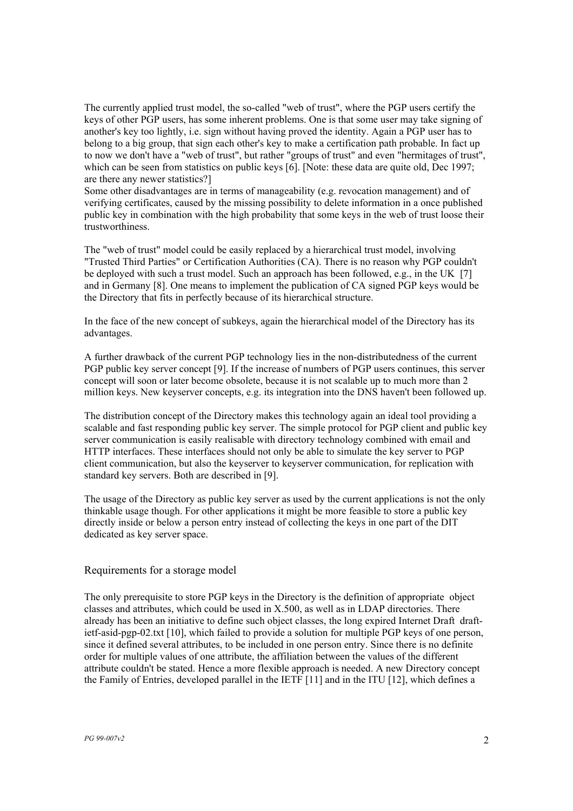The currently applied trust model, the so-called "web of trust", where the PGP users certify the keys of other PGP users, has some inherent problems. One is that some user may take signing of another's key too lightly, i.e. sign without having proved the identity. Again a PGP user has to belong to a big group, that sign each other's key to make a certification path probable. In fact up to now we don't have a "web of trust", but rather "groups of trust" and even "hermitages of trust", which can be seen from statistics on public keys [6]. [Note: these data are quite old, Dec 1997; are there any newer statistics?]

Some other disadvantages are in terms of manageability (e.g. revocation management) and of verifying certificates, caused by the missing possibility to delete information in a once published public key in combination with the high probability that some keys in the web of trust loose their trustworthiness.

The "web of trust" model could be easily replaced by a hierarchical trust model, involving "Trusted Third Parties" or Certification Authorities (CA). There is no reason why PGP couldn't be deployed with such a trust model. Such an approach has been followed, e.g., in the UK  $[7]$ and in Germany [8]. One means to implement the publication of CA signed PGP keys would be the Directory that fits in perfectly because of its hierarchical structure.

In the face of the new concept of subkeys, again the hierarchical model of the Directory has its advantages.

A further drawback of the current PGP technology lies in the non-distributedness of the current PGP public key server concept [9]. If the increase of numbers of PGP users continues, this server concept will soon or later become obsolete, because it is not scalable up to much more than 2 million keys. New keyserver concepts, e.g. its integration into the DNS haven't been followed up.

The distribution concept of the Directory makes this technology again an ideal tool providing a scalable and fast responding public key server. The simple protocol for PGP client and public key server communication is easily realisable with directory technology combined with email and HTTP interfaces. These interfaces should not only be able to simulate the key server to PGP client communication, but also the keyserver to keyserver communication, for replication with standard key servers. Both are described in [9].

The usage of the Directory as public key server as used by the current applications is not the only thinkable usage though. For other applications it might be more feasible to store a public key directly inside or below a person entry instead of collecting the keys in one part of the DIT dedicated as key server space.

#### Requirements for a storage model

The only prerequisite to store PGP keys in the Directory is the definition of appropriate object classes and attributes, which could be used in X.500, as well as in LDAP directories. There already has been an initiative to define such object classes, the long expired Internet Draft draftietf-asid-pgp-02.txt [10], which failed to provide a solution for multiple PGP keys of one person, since it defined several attributes, to be included in one person entry. Since there is no definite order for multiple values of one attribute, the affiliation between the values of the different attribute couldn't be stated. Hence a more flexible approach is needed. A new Directory concept the Family of Entries, developed parallel in the IETF [11] and in the ITU [12], which defines a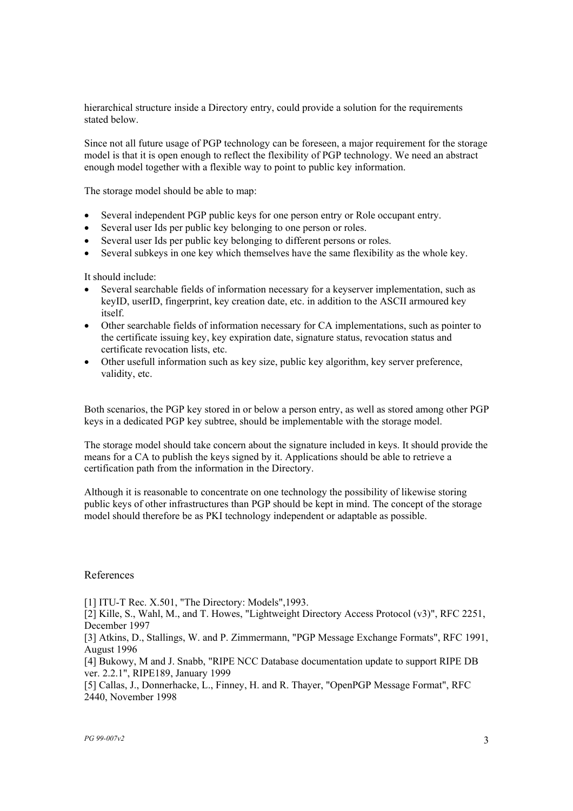hierarchical structure inside a Directory entry, could provide a solution for the requirements stated below.

Since not all future usage of PGP technology can be foreseen, a major requirement for the storage model is that it is open enough to reflect the flexibility of PGP technology. We need an abstract enough model together with a flexible way to point to public key information.

The storage model should be able to map:

- Several independent PGP public keys for one person entry or Role occupant entry.
- Several user Ids per public key belonging to one person or roles.
- Several user Ids per public key belonging to different persons or roles.
- Several subkeys in one key which themselves have the same flexibility as the whole key.

It should include:

- Several searchable fields of information necessary for a keyserver implementation, such as keyID, userID, fingerprint, key creation date, etc. in addition to the ASCII armoured key itself.
- Other searchable fields of information necessary for CA implementations, such as pointer to the certificate issuing key, key expiration date, signature status, revocation status and certificate revocation lists, etc.
- Other usefull information such as key size, public key algorithm, key server preference, validity, etc.

Both scenarios, the PGP key stored in or below a person entry, as well as stored among other PGP keys in a dedicated PGP key subtree, should be implementable with the storage model.

The storage model should take concern about the signature included in keys. It should provide the means for a CA to publish the keys signed by it. Applications should be able to retrieve a certification path from the information in the Directory.

Although it is reasonable to concentrate on one technology the possibility of likewise storing public keys of other infrastructures than PGP should be kept in mind. The concept of the storage model should therefore be as PKI technology independent or adaptable as possible.

#### References

[1] ITU-T Rec. X.501, "The Directory: Models",1993.

[2] Kille, S., Wahl, M., and T. Howes, "Lightweight Directory Access Protocol (v3)", RFC 2251, December 1997

[3] Atkins, D., Stallings, W. and P. Zimmermann, "PGP Message Exchange Formats", RFC 1991, August 1996

[4] Bukowy, M and J. Snabb, "RIPE NCC Database documentation update to support RIPE DB ver. 2.2.1", RIPE189, January 1999

[5] Callas, J., Donnerhacke, L., Finney, H. and R. Thayer, "OpenPGP Message Format", RFC 2440, November 1998